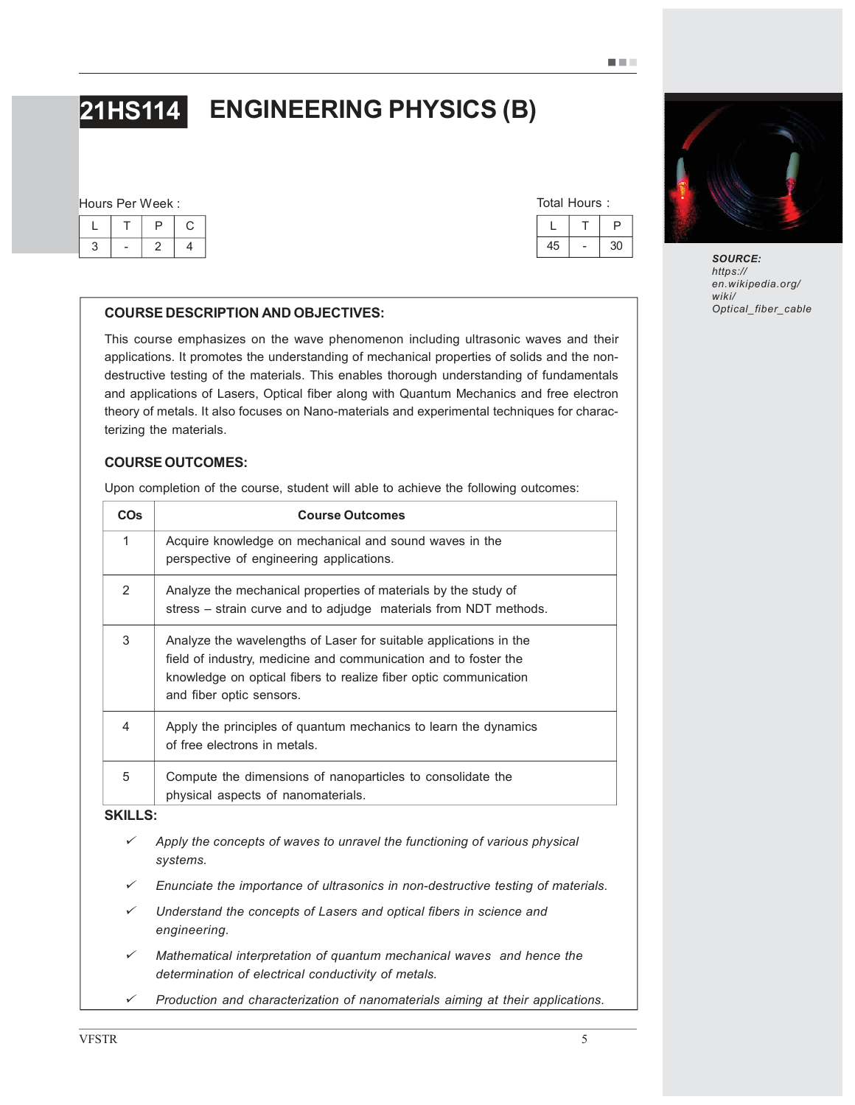# 21HS114 ENGINEERING PHYSICS (B)

#### Hours Per Week :

| Total Hours: |  |  |    |  |
|--------------|--|--|----|--|
|              |  |  |    |  |
|              |  |  | 30 |  |

### COURSE DESCRIPTION AND OBJECTIVES:

This course emphasizes on the wave phenomenon including ultrasonic waves and their applications. It promotes the understanding of mechanical properties of solids and the nondestructive testing of the materials. This enables thorough understanding of fundamentals and applications of Lasers, Optical fiber along with Quantum Mechanics and free electron theory of metals. It also focuses on Nano-materials and experimental techniques for characterizing the materials.

#### COURSE OUTCOMES:

*engineering.*

Upon completion of the course, student will able to achieve the following outcomes:

| <b>CO<sub>s</sub></b> | <b>Course Outcomes</b>                                                                                                                                                                                                               |
|-----------------------|--------------------------------------------------------------------------------------------------------------------------------------------------------------------------------------------------------------------------------------|
| 1                     | Acquire knowledge on mechanical and sound waves in the<br>perspective of engineering applications.                                                                                                                                   |
| $\mathcal{P}$         | Analyze the mechanical properties of materials by the study of<br>stress - strain curve and to adjudge materials from NDT methods.                                                                                                   |
| 3                     | Analyze the wavelengths of Laser for suitable applications in the<br>field of industry, medicine and communication and to foster the<br>knowledge on optical fibers to realize fiber optic communication<br>and fiber optic sensors. |
| 4                     | Apply the principles of quantum mechanics to learn the dynamics<br>of free electrons in metals.                                                                                                                                      |
| 5                     | Compute the dimensions of nanoparticles to consolidate the<br>physical aspects of nanomaterials.                                                                                                                                     |
| <b>SKILLS:</b>        |                                                                                                                                                                                                                                      |
| ✓                     | Apply the concepts of waves to unravel the functioning of various physical<br>systems.                                                                                                                                               |
| ✓                     | Enunciate the importance of ultrasonics in non-destructive testing of materials.                                                                                                                                                     |
| ✓                     | Understand the concepts of Lasers and optical fibers in science and                                                                                                                                                                  |

*Mathematical interpretation of quantum mechanical waves and hence the*

*Production and characterization of nanomaterials aiming at their applications.*

*determination of electrical conductivity of metals.*



SOURCE: *https:// en.wikipedia.org/ wiki/ Optical\_fiber\_cable*

 $\checkmark$ 

¸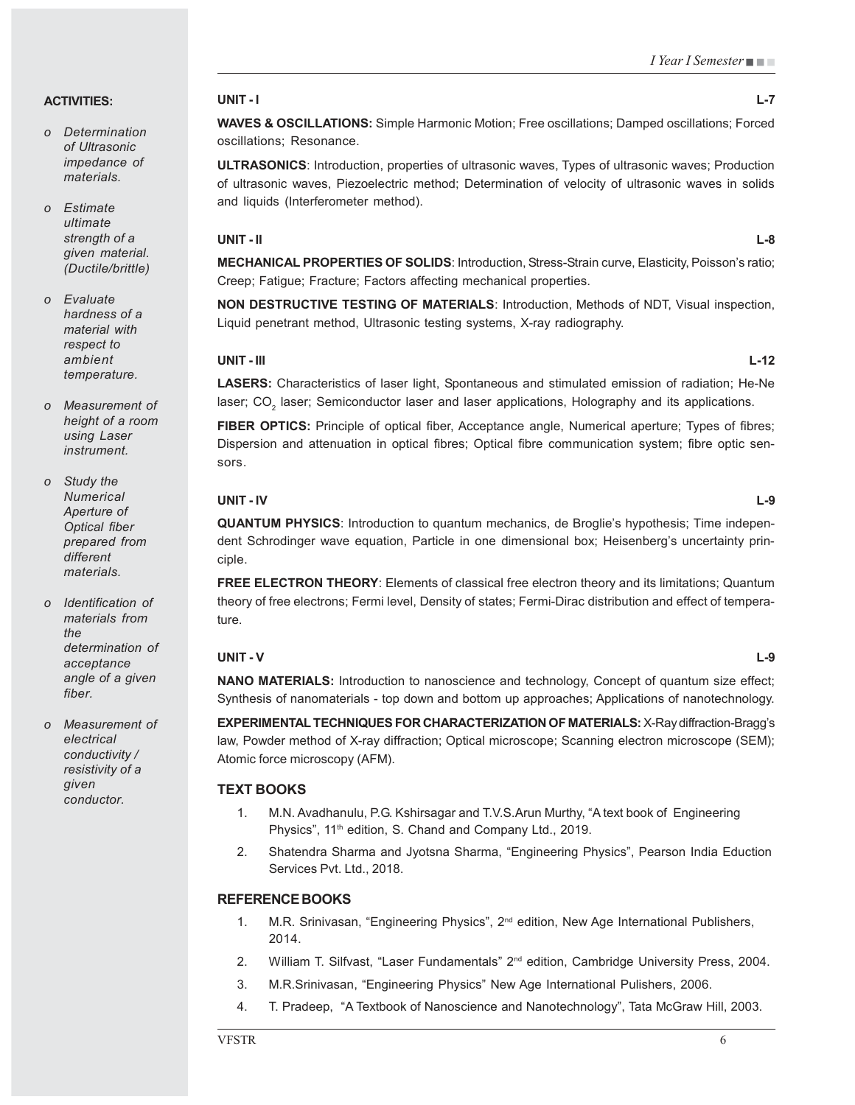#### ACTIVITIES:

- *o Determination of Ultrasonic impedance of materials.*
- *o Estimate ultimate strength of a given material. (Ductile/brittle)*
- *o Evaluate hardness of a material with respect to ambient temperature.*
- *o Measurement of height of a room using Laser instrument.*
- *o Study the Numerical Aperture of Optical fiber prepared from different materials.*
- *o Identification of materials from the determination of acceptance angle of a given fiber.*

*o Measurement of electrical conductivity / resistivity of a given conductor.*

#### UNIT - I L-7

WAVES & OSCILLATIONS: Simple Harmonic Motion; Free oscillations; Damped oscillations; Forced oscillations; Resonance.

ULTRASONICS: Introduction, properties of ultrasonic waves, Types of ultrasonic waves; Production of ultrasonic waves, Piezoelectric method; Determination of velocity of ultrasonic waves in solids and liquids (Interferometer method).

#### UNIT - II L-8

MECHANICAL PROPERTIES OF SOLIDS: Introduction, Stress-Strain curve, Elasticity, Poisson's ratio; Creep; Fatigue; Fracture; Factors affecting mechanical properties.

NON DESTRUCTIVE TESTING OF MATERIALS: Introduction, Methods of NDT, Visual inspection, Liquid penetrant method, Ultrasonic testing systems, X-ray radiography.

#### UNIT - III L-12

LASERS: Characteristics of laser light, Spontaneous and stimulated emission of radiation; He-Ne laser; CO $_{\tiny 2}$  laser; Semiconductor laser and laser applications, Holography and its applications.

FIBER OPTICS: Principle of optical fiber, Acceptance angle, Numerical aperture; Types of fibres; Dispersion and attenuation in optical fibres; Optical fibre communication system; fibre optic sensors.

#### UNIT - IV L-9

QUANTUM PHYSICS: Introduction to quantum mechanics, de Broglie's hypothesis; Time independent Schrodinger wave equation, Particle in one dimensional box; Heisenberg's uncertainty principle.

FREE ELECTRON THEORY: Elements of classical free electron theory and its limitations; Quantum theory of free electrons; Fermi level, Density of states; Fermi-Dirac distribution and effect of temperature.

#### UNIT - V L-9

NANO MATERIALS: Introduction to nanoscience and technology, Concept of quantum size effect; Synthesis of nanomaterials - top down and bottom up approaches; Applications of nanotechnology.

EXPERIMENTAL TECHNIQUES FOR CHARACTERIZATION OF MATERIALS: X-Ray diffraction-Bragg's law, Powder method of X-ray diffraction; Optical microscope; Scanning electron microscope (SEM); Atomic force microscopy (AFM).

#### TEXT BOOKS

- 1. M.N. Avadhanulu, P.G. Kshirsagar and T.V.S.Arun Murthy, "A text book of Engineering Physics", 11<sup>th</sup> edition, S. Chand and Company Ltd., 2019.
- 2. Shatendra Sharma and Jyotsna Sharma, "Engineering Physics", Pearson India Eduction Services Pvt. Ltd., 2018.

#### REFERENCE BOOKS

- 1. M.R. Srinivasan, "Engineering Physics", 2<sup>nd</sup> edition, New Age International Publishers, 2014.
- 2. William T. Silfvast, "Laser Fundamentals" 2<sup>nd</sup> edition, Cambridge University Press, 2004.
- 3. M.R.Srinivasan, "Engineering Physics" New Age International Pulishers, 2006.
- 4. T. Pradeep, "A Textbook of Nanoscience and Nanotechnology", Tata McGraw Hill, 2003.